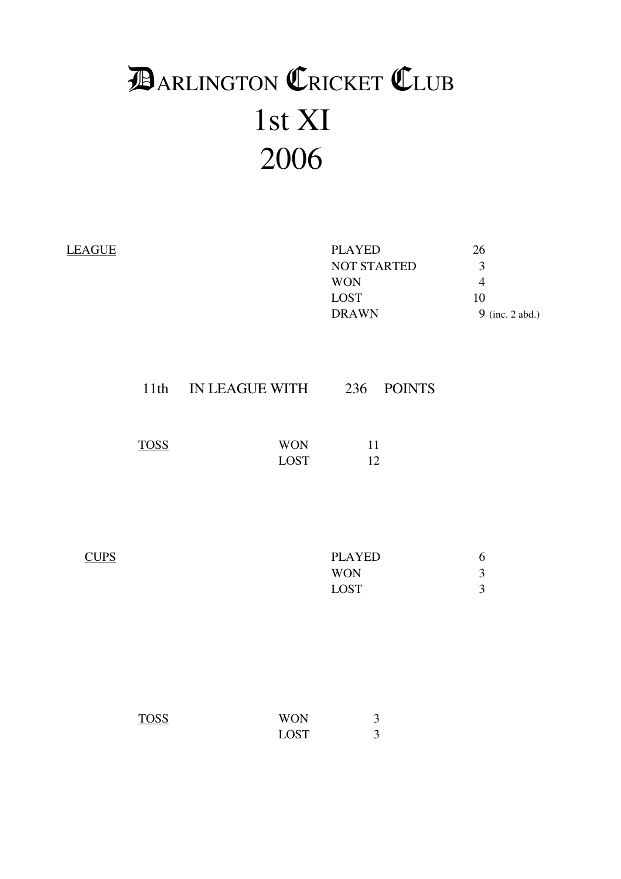# 1st XI 2006 **DARLINGTON CRICKET CLUB**

|             |                    | <b>PLAYED</b><br>NOT STARTED<br><b>WON</b><br>LOST<br><b>DRAWN</b> | 26<br>$\mathfrak{Z}$<br>$\overline{4}$<br>$10\,$<br>9 (inc. 2 abd.) |
|-------------|--------------------|--------------------------------------------------------------------|---------------------------------------------------------------------|
|             |                    |                                                                    |                                                                     |
| <b>TOSS</b> | <b>WON</b><br>LOST | 11<br>12                                                           |                                                                     |
|             |                    | <b>PLAYED</b><br><b>WON</b><br>LOST                                | 6<br>$\overline{3}$<br>$\overline{3}$                               |
|             |                    |                                                                    | 11th IN LEAGUE WITH 236 POINTS                                      |

| <b>TOSS</b> | <b>WON</b>  |  |
|-------------|-------------|--|
|             | <b>LOST</b> |  |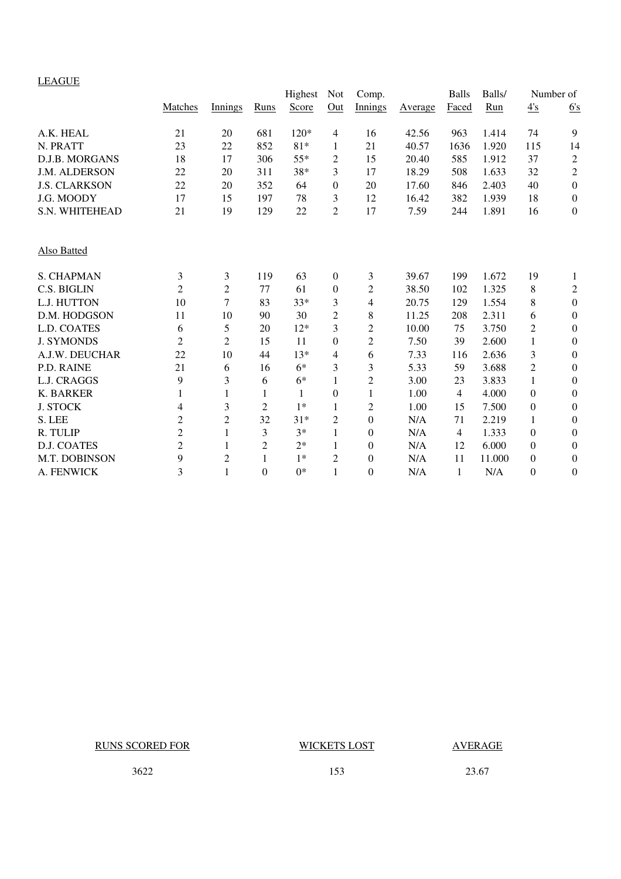#### LEAGUE

|                      |                |                |                | Highest      | <b>Not</b>       | Comp.            |         | <b>Balls</b> | Balls/ |                  | Number of               |
|----------------------|----------------|----------------|----------------|--------------|------------------|------------------|---------|--------------|--------|------------------|-------------------------|
|                      | Matches        | Innings        | Runs           | Score        | Out              | Innings          | Average | Faced        | Run    | $\frac{4's}{4}$  | 6's                     |
| A.K. HEAL            | 21             | 20             | 681            | 120*         | $\overline{4}$   | 16               | 42.56   | 963          | 1.414  | 74               | 9                       |
| N. PRATT             | 23             | 22             | 852            | $81*$        | 1                | 21               | 40.57   | 1636         | 1.920  | 115              | 14                      |
| D.J.B. MORGANS       | 18             | 17             | 306            | $55*$        | 2                | 15               | 20.40   | 585          | 1.912  | 37               | $\overline{\mathbf{c}}$ |
| J.M. ALDERSON        | 22             | 20             | 311            | 38*          | 3                | 17               | 18.29   | 508          | 1.633  | 32               | $\overline{c}$          |
| <b>J.S. CLARKSON</b> | 22             | 20             | 352            | 64           | $\boldsymbol{0}$ | 20               | 17.60   | 846          | 2.403  | 40               | $\boldsymbol{0}$        |
| J.G. MOODY           | 17             | 15             | 197            | 78           | 3                | 12               | 16.42   | 382          | 1.939  | 18               | $\boldsymbol{0}$        |
| S.N. WHITEHEAD       | 21             | 19             | 129            | 22           | $\overline{2}$   | 17               | 7.59    | 244          | 1.891  | 16               | $\boldsymbol{0}$        |
| <b>Also Batted</b>   |                |                |                |              |                  |                  |         |              |        |                  |                         |
| <b>S. CHAPMAN</b>    | 3              | 3              | 119            | 63           | $\mathbf{0}$     | 3                | 39.67   | 199          | 1.672  | 19               | 1                       |
| C.S. BIGLIN          | $\overline{2}$ | $\overline{c}$ | 77             | 61           | $\overline{0}$   | $\overline{c}$   | 38.50   | 102          | 1.325  | 8                | $\overline{c}$          |
| L.J. HUTTON          | 10             | 7              | 83             | $33*$        | 3                | 4                | 20.75   | 129          | 1.554  | 8                | $\boldsymbol{0}$        |
| D.M. HODGSON         | 11             | 10             | 90             | 30           | $\overline{2}$   | 8                | 11.25   | 208          | 2.311  | 6                | $\boldsymbol{0}$        |
| L.D. COATES          | 6              | 5              | 20             | $12*$        | 3                | 2                | 10.00   | 75           | 3.750  | $\overline{c}$   | $\boldsymbol{0}$        |
| <b>J. SYMONDS</b>    | $\overline{2}$ | $\overline{2}$ | 15             | 11           | $\Omega$         | $\overline{c}$   | 7.50    | 39           | 2.600  | $\mathbf{1}$     | $\boldsymbol{0}$        |
| A.J.W. DEUCHAR       | 22             | 10             | 44             | $13*$        | $\overline{4}$   | 6                | 7.33    | 116          | 2.636  | 3                | $\mathbf{0}$            |
| P.D. RAINE           | 21             | 6              | 16             | $6*$         | 3                | 3                | 5.33    | 59           | 3.688  | $\overline{2}$   | $\boldsymbol{0}$        |
| L.J. CRAGGS          | 9              | 3              | 6              | $6*$         |                  | $\overline{2}$   | 3.00    | 23           | 3.833  | $\mathbf{1}$     | $\boldsymbol{0}$        |
| <b>K. BARKER</b>     | 1              | 1              | 1              | $\mathbf{1}$ | $\mathbf{0}$     | $\mathbf{1}$     | 1.00    | 4            | 4.000  | $\boldsymbol{0}$ | $\boldsymbol{0}$        |
| <b>J. STOCK</b>      | 4              | 3              | $\overline{2}$ | $1*$         | 1                | $\overline{2}$   | 1.00    | 15           | 7.500  | $\boldsymbol{0}$ | $\mathbf{0}$            |
| S. LEE               | $\mathbf{2}$   | $\overline{c}$ | 32             | $31*$        | $\overline{2}$   | $\boldsymbol{0}$ | N/A     | 71           | 2.219  | 1                | $\boldsymbol{0}$        |
| R. TULIP             | $\overline{c}$ | $\mathbf{1}$   | 3              | $3*$         | 1                | $\mathbf{0}$     | N/A     | 4            | 1.333  | $\boldsymbol{0}$ | $\mathbf{0}$            |
| <b>D.J. COATES</b>   | $\overline{c}$ | 1              | $\mathfrak{2}$ | $2*$         | 1                | $\boldsymbol{0}$ | N/A     | 12           | 6.000  | $\boldsymbol{0}$ | $\boldsymbol{0}$        |
| M.T. DOBINSON        | 9              | $\overline{c}$ | 1              | $1*$         | $\overline{2}$   | $\boldsymbol{0}$ | N/A     | 11           | 11.000 | $\boldsymbol{0}$ | $\boldsymbol{0}$        |
| A. FENWICK           | 3              | $\mathbf{1}$   | $\Omega$       | $0*$         | 1                | $\theta$         | N/A     | $\mathbf{1}$ | N/A    | $\boldsymbol{0}$ | $\mathbf{0}$            |

RUNS SCORED FOR WICKETS LOST AVERAGE

3622 153 23.67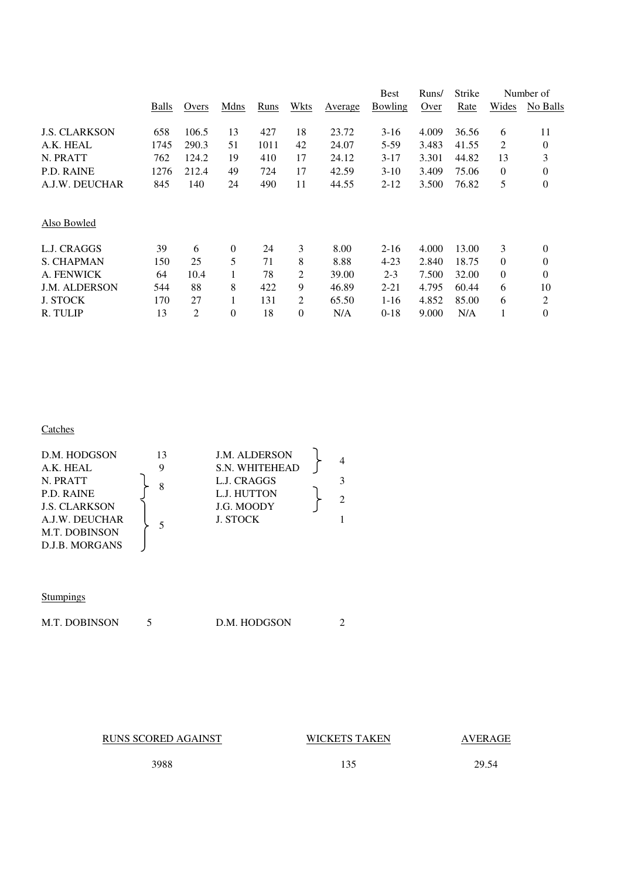|       |                |                |          |             |          | Best           | Runs/            | Strike         |                | Number of      |
|-------|----------------|----------------|----------|-------------|----------|----------------|------------------|----------------|----------------|----------------|
| Balls | Overs          | Mdns           | Runs     | Wkts        | Average  | Bowling        | Over             | Rate           | Wides          | No Balls       |
|       |                |                |          |             |          |                |                  |                |                |                |
|       |                |                |          |             |          |                |                  |                |                | 11             |
|       |                |                |          |             |          |                |                  |                |                | $\overline{0}$ |
| 762   | 124.2          | 19             | 410      | 17          | 24.12    | $3 - 17$       | 3.301            | 44.82          | 13             | 3              |
| 1276  | 212.4          | 49             | 724      | 17          | 42.59    | $3-10$         | 3.409            | 75.06          | 0              | $\overline{0}$ |
| 845   | 140            | 24             | 490      | 11          | 44.55    | $2 - 12$       | 3.500            | 76.82          | 5              | 0              |
|       |                |                |          |             |          |                |                  |                |                |                |
| 39    | 6              | $\theta$       | 24       | 3           | 8.00     | $2 - 16$       | 4.000            | 13.00          | 3              | 0              |
| 150   | 25             | 5              | 71       | 8           | 8.88     | $4 - 23$       | 2.840            | 18.75          | 0              | 0              |
| 64    | 10.4           |                | 78       | 2           | 39.00    | $2 - 3$        | 7.500            | 32.00          | $\overline{0}$ | $\overline{0}$ |
| 544   | 88             | 8              | 422      | 9           | 46.89    | $2 - 21$       | 4.795            | 60.44          | 6              | 10             |
| 170   | 27             |                | 131      | 2           | 65.50    | $1 - 16$       | 4.852            | 85.00          | 6              | 2              |
| 13    | $\overline{2}$ | $\theta$       | 18       | $\theta$    | N/A      | $0-18$         | 9.000            | N/A            |                | $\overline{0}$ |
|       | 658<br>1745    | 106.5<br>290.3 | 13<br>51 | 427<br>1011 | 18<br>42 | 23.72<br>24.07 | $3-16$<br>$5-59$ | 4.009<br>3.483 | 36.56<br>41.55 | 6<br>2         |

## **Catches**

| D.M. HODGSON<br>A.K. HEAL<br>N. PRATT<br>P.D. RAINE<br><b>J.S. CLARKSON</b> | 13<br>8 | <b>J.M. ALDERSON</b><br><b>S.N. WHITEHEAD</b><br>L.J. CRAGGS<br>L.J. HUTTON<br>J.G. MOODY | $\mathcal{D}$ |
|-----------------------------------------------------------------------------|---------|-------------------------------------------------------------------------------------------|---------------|
| A.J.W. DEUCHAR<br><b>M.T. DOBINSON</b><br>D.J.B. MORGANS                    |         | <b>J. STOCK</b>                                                                           |               |

#### **Stumpings**

| <b>M.T. DOBINSON</b><br>D.M. HODGSON |
|--------------------------------------|
|--------------------------------------|

RUNS SCORED AGAINST WICKETS TAKEN AVERAGE

3988 135 29.54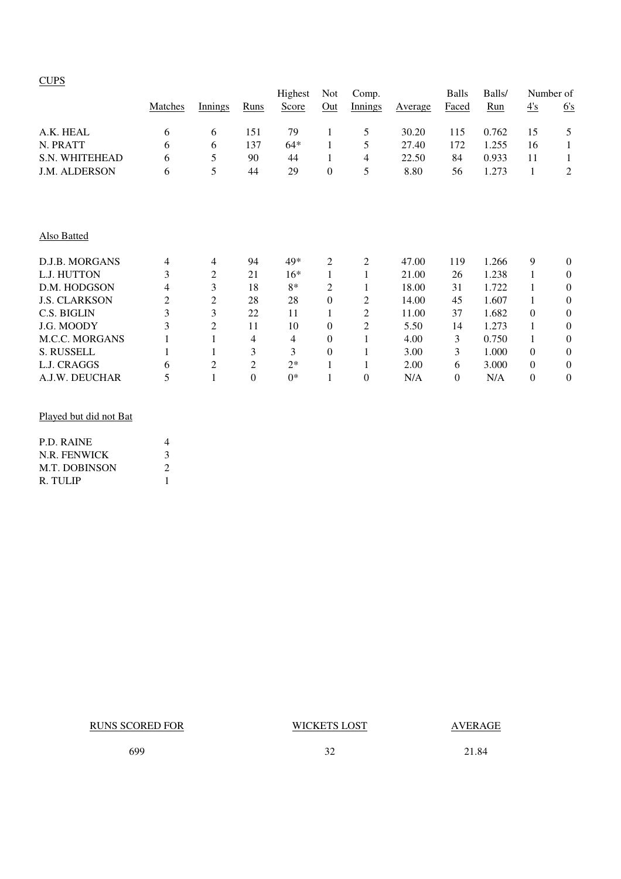|                       | Matches | Innings | Runs           | Highest<br>Score | Not<br>Out       | Comp.<br>Innings | Average | <b>Balls</b><br>Faced | Balls/<br>Run | 4's            | Number of<br>6's |
|-----------------------|---------|---------|----------------|------------------|------------------|------------------|---------|-----------------------|---------------|----------------|------------------|
|                       |         |         |                |                  |                  |                  |         |                       |               |                |                  |
| A.K. HEAL             | 6       | 6       | 151            | 79               | 1                | 5                | 30.20   | 115                   | 0.762         | 15             | 5                |
| N. PRATT              | 6       | 6       | 137            | $64*$            | 1                | 5                | 27.40   | 172                   | 1.255         | 16             | 1                |
| S.N. WHITEHEAD        | 6       | 5       | 90             | 44               | 1                | 4                | 22.50   | 84                    | 0.933         | 11             | 1                |
| <b>J.M. ALDERSON</b>  | 6       | 5       | 44             | 29               | $\mathbf{0}$     | 5                | 8.80    | 56                    | 1.273         | 1              | 2                |
|                       |         |         |                |                  |                  |                  |         |                       |               |                |                  |
| Also Batted           |         |         |                |                  |                  |                  |         |                       |               |                |                  |
| D.J.B. MORGANS        | 4       | 4       | 94             | 49*              | 2                | 2                | 47.00   | 119                   | 1.266         | 9              | $\mathbf{0}$     |
| L.J. HUTTON           | 3       | 2       | 21             | $16*$            | 1                |                  | 21.00   | 26                    | 1.238         | 1              | $\theta$         |
| D.M. HODGSON          | 4       | 3       | 18             | $8*$             | 2                |                  | 18.00   | 31                    | 1.722         |                | $\Omega$         |
| <b>J.S. CLARKSON</b>  | 2       | 2       | 28             | 28               | $\boldsymbol{0}$ | 2                | 14.00   | 45                    | 1.607         |                | $\theta$         |
| C.S. BIGLIN           | 3       | 3       | 22             | 11               | 1                | 2                | 11.00   | 37                    | 1.682         | $\Omega$       | $\theta$         |
| J.G. MOODY            | 3       | 2       | 11             | 10               | $\mathbf{0}$     | 2                | 5.50    | 14                    | 1.273         |                | $\Omega$         |
| <b>M.C.C. MORGANS</b> |         |         | 4              | 4                | $\mathbf{0}$     |                  | 4.00    | 3                     | 0.750         |                | $\theta$         |
| S. RUSSELL            |         | 1       | 3              | 3                | $\mathbf{0}$     |                  | 3.00    | 3                     | 1.000         | $\Omega$       | $\theta$         |
| L.J. CRAGGS           | 6       | 2       | $\overline{c}$ | $2*$             | 1                |                  | 2.00    | 6                     | 3.000         | $\theta$       | $\theta$         |
| A.J.W. DEUCHAR        | 5       |         | $\overline{0}$ | $0*$             |                  | $\overline{0}$   | N/A     | $\overline{0}$        | N/A           | $\overline{0}$ | $\overline{0}$   |

#### Played but did not Bat

| P.D. RAINE           | 4              |
|----------------------|----------------|
| N.R. FENWICK         | 3              |
| <b>M.T. DOBINSON</b> | $\mathfrak{D}$ |
| R. TULIP             |                |

RUNS SCORED FOR WICKETS LOST AVERAGE

699 32 21.84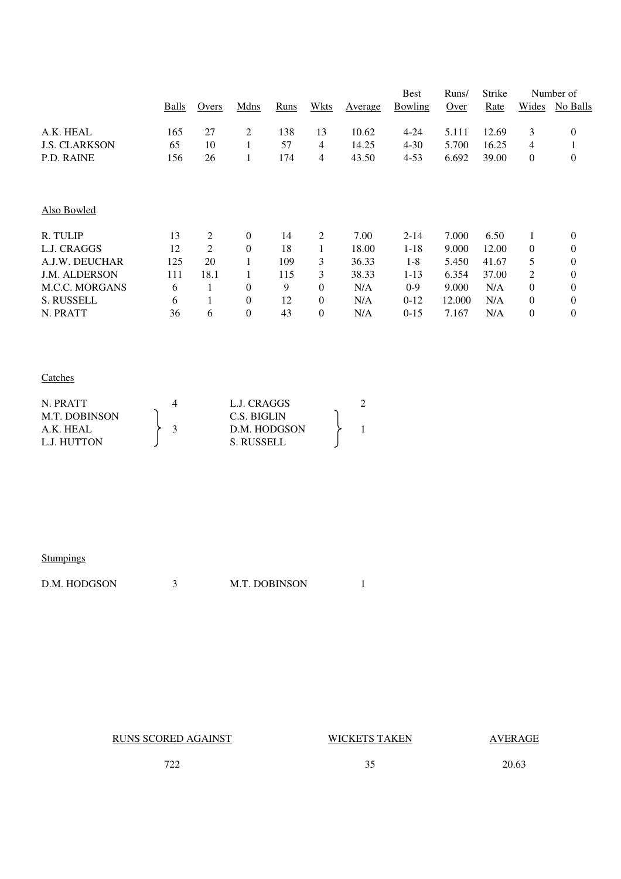|                       |       |       |                  |      |                  |         | <b>Best</b> | Runs/  | Strike |                | Number of        |
|-----------------------|-------|-------|------------------|------|------------------|---------|-------------|--------|--------|----------------|------------------|
|                       | Balls | Overs | Mdns             | Runs | Wkts             | Average | Bowling     | Over   | Rate   | Wides          | No Balls         |
| A.K. HEAL             | 165   | 27    | 2                | 138  | 13               | 10.62   | $4 - 24$    | 5.111  | 12.69  | 3              | $\boldsymbol{0}$ |
| <b>J.S. CLARKSON</b>  | 65    | 10    |                  | 57   | 4                | 14.25   | $4 - 30$    | 5.700  | 16.25  | 4              | 1                |
| <b>P.D. RAINE</b>     | 156   | 26    | 1                | 174  | 4                | 43.50   | $4 - 53$    | 6.692  | 39.00  | $\theta$       | $\theta$         |
|                       |       |       |                  |      |                  |         |             |        |        |                |                  |
| Also Bowled           |       |       |                  |      |                  |         |             |        |        |                |                  |
| R. TULIP              | 13    | 2     | $\theta$         | 14   | 2                | 7.00    | $2 - 14$    | 7.000  | 6.50   | 1              | $\mathbf{0}$     |
| L.J. CRAGGS           | 12    | 2     | $\theta$         | 18   |                  | 18.00   | $1 - 18$    | 9.000  | 12.00  | $\overline{0}$ | $\mathbf{0}$     |
| A.J.W. DEUCHAR        | 125   | 20    | 1                | 109  | 3                | 36.33   | $1 - 8$     | 5.450  | 41.67  | 5              | $\theta$         |
| <b>J.M. ALDERSON</b>  | 111   | 18.1  | 1                | 115  | 3                | 38.33   | $1 - 13$    | 6.354  | 37.00  | 2              | $\theta$         |
| <b>M.C.C. MORGANS</b> | 6     |       | $\theta$         | 9    | $\theta$         | N/A     | $0-9$       | 9.000  | N/A    | $\Omega$       | $\theta$         |
| <b>S. RUSSELL</b>     | 6     |       | $\overline{0}$   | 12   | $\overline{0}$   | N/A     | $0-12$      | 12.000 | N/A    | $\Omega$       | $\theta$         |
| N. PRATT              | 36    | 6     | $\boldsymbol{0}$ | 43   | $\boldsymbol{0}$ | N/A     | $0-15$      | 7.167  | N/A    | $\theta$       | $\boldsymbol{0}$ |

## **Catches**

| N. PRATT             |  | L.J. CRAGGS  |  |
|----------------------|--|--------------|--|
| <b>M.T. DOBINSON</b> |  | C.S. BIGLIN  |  |
| A.K. HEAL            |  | D.M. HODGSON |  |
| L.J. HUTTON          |  | S. RUSSELL   |  |

| Stumpings |  |
|-----------|--|
|           |  |

| D.M. HODGSON |  | <b>M.T. DOBINSON</b> |  |
|--------------|--|----------------------|--|
|--------------|--|----------------------|--|

RUNS SCORED AGAINST WICKETS TAKEN AVERAGE

722 35 20.63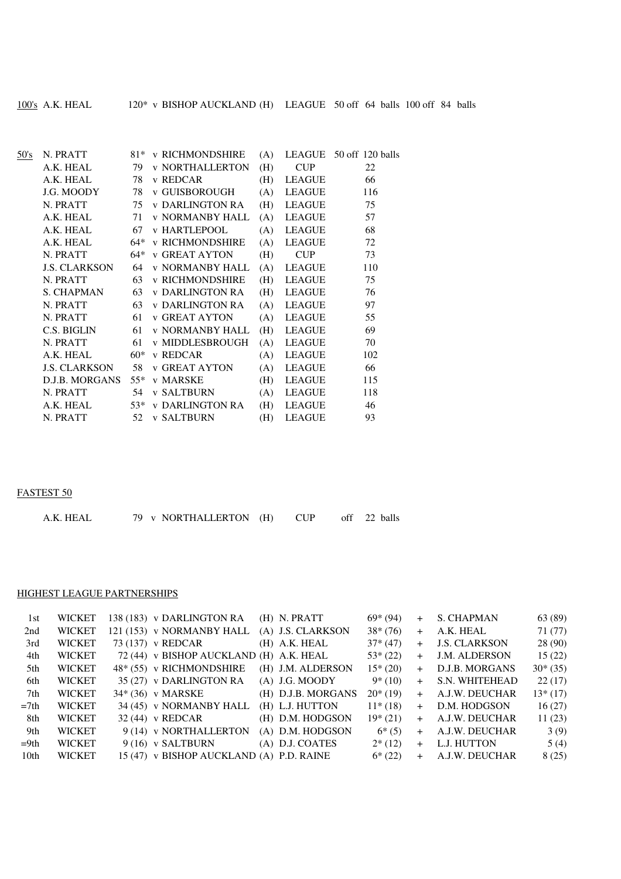| 50's | N. PRATT                    |       | 81* v RICHMONDSHIRE    | (A) |               | LEAGUE 50 off 120 balls |
|------|-----------------------------|-------|------------------------|-----|---------------|-------------------------|
|      | A.K. HEAL                   | 79    | <b>v NORTHALLERTON</b> | (H) | <b>CUP</b>    | 22                      |
|      | A.K. HEAL                   | 78    | v REDCAR               | (H) | <b>LEAGUE</b> | 66                      |
|      | J.G. MOODY                  | 78    | v GUISBOROUGH          | (A) | <b>LEAGUE</b> | 116                     |
|      | N. PRATT                    | 75    | v DARLINGTON RA        | (H) | <b>LEAGUE</b> | 75                      |
|      | A.K. HEAL                   | 71    | v NORMANBY HALL        | (A) | <b>LEAGUE</b> | 57                      |
|      | A.K. HEAL                   | 67    | <b>v HARTLEPOOL</b>    | (A) | LEAGUE        | 68                      |
|      | A.K. HEAL                   | 64*   | <b>v RICHMONDSHIRE</b> | (A) | <b>LEAGUE</b> | 72                      |
|      | N. PRATT                    | 64*   | <b>v GREAT AYTON</b>   | (H) | <b>CUP</b>    | 73                      |
|      | J.S. CLARKSON               | 64    | <b>v NORMANBY HALL</b> | (A) | LEAGUE        | 110                     |
|      | N. PRATT                    | 63    | <b>v RICHMONDSHIRE</b> | (H) | <b>LEAGUE</b> | 75                      |
|      | <b>S. CHAPMAN</b>           | 63    | <b>v DARLINGTON RA</b> | (H) | <b>LEAGUE</b> | 76                      |
|      | N. PRATT                    | 63    | <b>v DARLINGTON RA</b> | (A) | <b>LEAGUE</b> | 97                      |
|      | N. PRATT                    | 61    | v GREAT AYTON          | (A) | <b>LEAGUE</b> | 55                      |
|      | C.S. BIGLIN                 |       | 61 v NORMANBY HALL     | (H) | <b>LEAGUE</b> | 69                      |
|      | N. PRATT                    | 61    | v MIDDLESBROUGH        | (A) | <b>LEAGUE</b> | 70                      |
|      | A.K. HEAL                   | $60*$ | v REDCAR               | (A) | <b>LEAGUE</b> | 102                     |
|      | <b>J.S. CLARKSON</b> 58     |       | <b>v GREAT AYTON</b>   | (A) | <b>LEAGUE</b> | 66                      |
|      | D.J.B. MORGANS 55* v MARSKE |       |                        | (H) | <b>LEAGUE</b> | 115                     |
|      | N. PRATT                    | 54    | <b>v SALTBURN</b>      | (A) | <b>LEAGUE</b> | 118                     |
|      | A.K. HEAL                   | $53*$ | <b>v DARLINGTON RA</b> | (H) | <b>LEAGUE</b> | 46                      |
|      | N. PRATT                    | 52    | <b>v SALTBURN</b>      | (H) | <b>LEAGUE</b> | 93                      |
|      |                             |       |                        |     |               |                         |

#### FASTEST 50

| 79 v NORTHALLERTON (H)<br>A.K. HEAL |  | <b>CUP</b> |  | off 22 balls |
|-------------------------------------|--|------------|--|--------------|
|-------------------------------------|--|------------|--|--------------|

#### HIGHEST LEAGUE PARTNERSHIPS

| 1st    | <b>WICKET</b> | 138 (183) v DARLINGTON RA                | (H) N. PRATT       | $69*(94)$ | $+$ | S. CHAPMAN           | 63 (89)   |
|--------|---------------|------------------------------------------|--------------------|-----------|-----|----------------------|-----------|
| 2nd    | <b>WICKET</b> | 121 (153) v NORMANBY HALL                | (A) J.S. CLARKSON  | $38*(76)$ | $+$ | A.K. HEAL            | 71 (77)   |
| 3rd    | <b>WICKET</b> | 73 (137) v REDCAR                        | $(H)$ A.K. HEAL    | $37*(47)$ | $+$ | <b>J.S. CLARKSON</b> | 28 (90)   |
| 4th    | <b>WICKET</b> | 72 (44) v BISHOP AUCKLAND (H) A.K. HEAL  |                    | $53*(22)$ | $+$ | <b>J.M. ALDERSON</b> | 15(22)    |
| .5th   | <b>WICKET</b> | 48* (55) v RICHMONDSHIRE                 | (H) J.M. ALDERSON  | $15*(20)$ | $+$ | D.J.B. MORGANS       | $30*(35)$ |
| 6th    | <b>WICKET</b> | 35 (27) v DARLINGTON RA                  | $(A)$ J.G. MOODY   | $9*(10)$  | $+$ | S.N. WHITEHEAD       | 22(17)    |
| 7th    | <b>WICKET</b> | 34* (36) v MARSKE                        | (H) D.J.B. MORGANS | $20*(19)$ | $+$ | A.J.W. DEUCHAR       | $13*(17)$ |
| $=7th$ | <b>WICKET</b> | 34 (45) v NORMANBY HALL                  | (H) L.J. HUTTON    | $11*(18)$ | $+$ | D.M. HODGSON         | 16(27)    |
| 8th    | <b>WICKET</b> | $32(44)$ v REDCAR                        | (H) D.M. HODGSON   | $19*(21)$ | $+$ | A.J.W. DEUCHAR       | 11(23)    |
| 9th    | <b>WICKET</b> | 9 (14) v NORTHALLERTON                   | (A) D.M. HODGSON   | $6*(5)$   | $+$ | A.J.W. DEUCHAR       | 3(9)      |
| $=9th$ | <b>WICKET</b> | $9(16)$ v SALTBURN                       | (A) D.J. COATES    | $2*(12)$  | $+$ | L.J. HUTTON          | 5(4)      |
| 10th   | <b>WICKET</b> | 15 (47) v BISHOP AUCKLAND (A) P.D. RAINE |                    | $6*(22)$  | $+$ | A.J.W. DEUCHAR       | 8(25)     |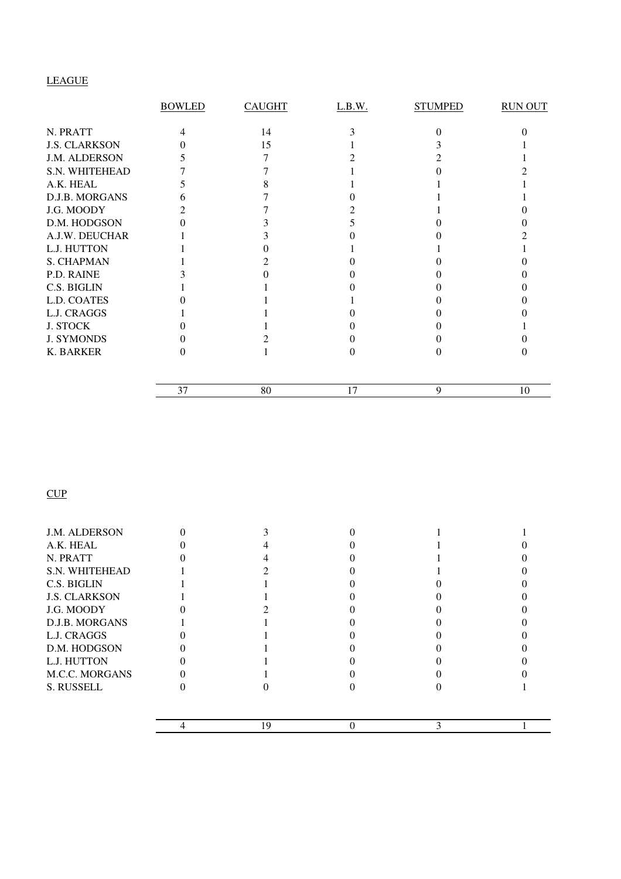# LEAGUE

|                      | <b>BOWLED</b> | <b>CAUGHT</b> | L.B.W. | <b>STUMPED</b> | <b>RUN OUT</b> |
|----------------------|---------------|---------------|--------|----------------|----------------|
| N. PRATT             |               | 14            |        |                |                |
| <b>J.S. CLARKSON</b> |               | 15            |        |                |                |
| J.M. ALDERSON        |               |               |        |                |                |
| S.N. WHITEHEAD       |               |               |        |                |                |
| A.K. HEAL            |               |               |        |                |                |
| D.J.B. MORGANS       |               |               |        |                |                |
| J.G. MOODY           |               |               |        |                |                |
| D.M. HODGSON         |               |               |        |                |                |
| A.J.W. DEUCHAR       |               |               |        |                |                |
| L.J. HUTTON          |               |               |        |                |                |
| <b>S. CHAPMAN</b>    |               |               |        |                |                |
| P.D. RAINE           |               |               |        |                |                |
| C.S. BIGLIN          |               |               |        |                |                |
| L.D. COATES          |               |               |        |                |                |
| L.J. CRAGGS          |               |               |        |                |                |
| <b>J. STOCK</b>      |               |               |        |                |                |
| <b>J. SYMONDS</b>    |               |               |        |                |                |
| K. BARKER            |               |               |        |                |                |
|                      | 37            | 80            | 17     | 9              | 10             |

# **CUP**

|                       | 19 |  |  |
|-----------------------|----|--|--|
|                       |    |  |  |
| S. RUSSELL            |    |  |  |
| <b>M.C.C. MORGANS</b> |    |  |  |
| L.J. HUTTON           |    |  |  |
| D.M. HODGSON          |    |  |  |
| L.J. CRAGGS           |    |  |  |
| <b>D.J.B. MORGANS</b> |    |  |  |
| J.G. MOODY            |    |  |  |
| <b>J.S. CLARKSON</b>  |    |  |  |
| C.S. BIGLIN           |    |  |  |
| S.N. WHITEHEAD        |    |  |  |
| N. PRATT              |    |  |  |
| A.K. HEAL             |    |  |  |
| <b>J.M. ALDERSON</b>  |    |  |  |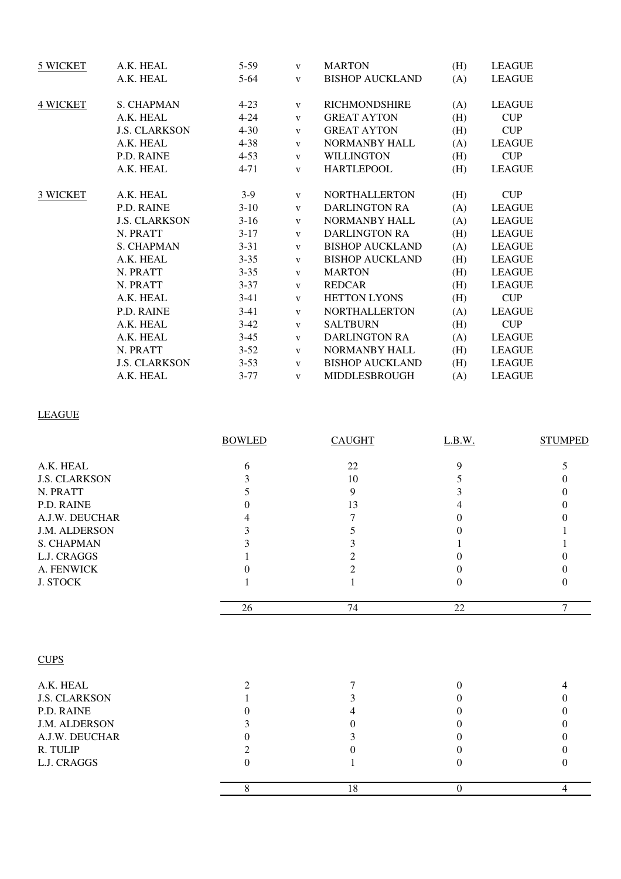| 5 WICKET        | A.K. HEAL            | $5-59$   | $\mathbf{V}$ | <b>MARTON</b>          | (H) | <b>LEAGUE</b> |
|-----------------|----------------------|----------|--------------|------------------------|-----|---------------|
|                 | A.K. HEAL            | $5 - 64$ | $\mathbf{V}$ | <b>BISHOP AUCKLAND</b> | (A) | <b>LEAGUE</b> |
| <b>4 WICKET</b> | <b>S. CHAPMAN</b>    | $4 - 23$ | $\mathbf{V}$ | <b>RICHMONDSHIRE</b>   | (A) | <b>LEAGUE</b> |
|                 | A.K. HEAL            | $4 - 24$ | $\mathbf{V}$ | <b>GREAT AYTON</b>     | (H) | CUP           |
|                 | <b>J.S. CLARKSON</b> | $4 - 30$ | $\mathbf{V}$ | <b>GREAT AYTON</b>     | (H) | <b>CUP</b>    |
|                 | A.K. HEAL            | $4 - 38$ | $\mathbf{V}$ | <b>NORMANBY HALL</b>   | (A) | <b>LEAGUE</b> |
|                 | P.D. RAINE           | $4 - 53$ | $\mathbf{V}$ | <b>WILLINGTON</b>      | (H) | <b>CUP</b>    |
|                 | A.K. HEAL            | $4 - 71$ | $\mathbf{V}$ | <b>HARTLEPOOL</b>      | (H) | <b>LEAGUE</b> |
| 3 WICKET        | A.K. HEAL            | $3-9$    | V            | <b>NORTHALLERTON</b>   | (H) | <b>CUP</b>    |
|                 | P.D. RAINE           | $3-10$   | $\mathbf{V}$ | <b>DARLINGTON RA</b>   | (A) | <b>LEAGUE</b> |
|                 | <b>J.S. CLARKSON</b> | $3-16$   | $\mathbf{V}$ | NORMANBY HALL          | (A) | <b>LEAGUE</b> |
|                 | N. PRATT             | $3-17$   | $\mathbf{V}$ | <b>DARLINGTON RA</b>   | (H) | <b>LEAGUE</b> |
|                 | S. CHAPMAN           | $3 - 31$ | $\mathbf{V}$ | <b>BISHOP AUCKLAND</b> | (A) | <b>LEAGUE</b> |
|                 | A.K. HEAL            | $3 - 35$ | V            | <b>BISHOP AUCKLAND</b> | (H) | <b>LEAGUE</b> |
|                 | N. PRATT             | $3 - 35$ | V            | <b>MARTON</b>          | (H) | <b>LEAGUE</b> |
|                 | N. PRATT             | $3 - 37$ | V            | <b>REDCAR</b>          | (H) | <b>LEAGUE</b> |
|                 | A.K. HEAL            | $3-41$   | $\mathbf{V}$ | <b>HETTON LYONS</b>    | (H) | <b>CUP</b>    |
|                 | P.D. RAINE           | $3-41$   | $\mathbf{V}$ | <b>NORTHALLERTON</b>   | (A) | <b>LEAGUE</b> |
|                 | A.K. HEAL            | $3-42$   | $\mathbf{V}$ | <b>SALTBURN</b>        | (H) | <b>CUP</b>    |
|                 | A.K. HEAL            | $3-45$   | $\mathbf{V}$ | <b>DARLINGTON RA</b>   | (A) | <b>LEAGUE</b> |
|                 | N. PRATT             | $3 - 52$ | $\mathbf{V}$ | NORMANBY HALL          | (H) | <b>LEAGUE</b> |
|                 | <b>J.S. CLARKSON</b> | $3 - 53$ | $\mathbf{V}$ | <b>BISHOP AUCKLAND</b> | (H) | <b>LEAGUE</b> |
|                 | A.K. HEAL            | $3 - 77$ | $\mathbf{V}$ | <b>MIDDLESBROUGH</b>   | (A) | <b>LEAGUE</b> |

# LEAGUE

|                      | <b>BOWLED</b>    | <b>CAUGHT</b> | L.B.W.          | <b>STUMPED</b> |
|----------------------|------------------|---------------|-----------------|----------------|
| A.K. HEAL            | 6                | 22            | 9               | 5              |
| <b>J.S. CLARKSON</b> | 3                | 10            | 5               |                |
| N. PRATT             | 5                | 9             | 3               |                |
| P.D. RAINE           | $\Omega$         | 13            | 4               |                |
| A.J.W. DEUCHAR       |                  | 7             | 0               |                |
| J.M. ALDERSON        |                  | 5             | 0               |                |
| <b>S. CHAPMAN</b>    |                  | 3             |                 |                |
| L.J. CRAGGS          |                  | 2             | 0               |                |
| A. FENWICK           |                  | 2             | $\Omega$        |                |
| <b>J. STOCK</b>      |                  |               | $\Omega$        | $\Omega$       |
|                      | 26               | 74            | $\overline{22}$ | 7              |
| <b>CUPS</b>          |                  |               |                 |                |
| A.K. HEAL            | $\overline{2}$   | 7             | $\theta$        |                |
| <b>J.S. CLARKSON</b> |                  | 3             | 0               |                |
| P.D. RAINE           | $\Omega$         | 4             | $\Omega$        | 0              |
| J.M. ALDERSON        | 3                | 0             | $\Omega$        |                |
| A.J.W. DEUCHAR       | $\theta$         |               | $\Omega$        |                |
| R. TULIP             | 2                | 0             | 0               | 0              |
| L.J. CRAGGS          | $\boldsymbol{0}$ |               | $\theta$        | $\Omega$       |
|                      | 8                | 18            | $\mathbf{0}$    | 4              |